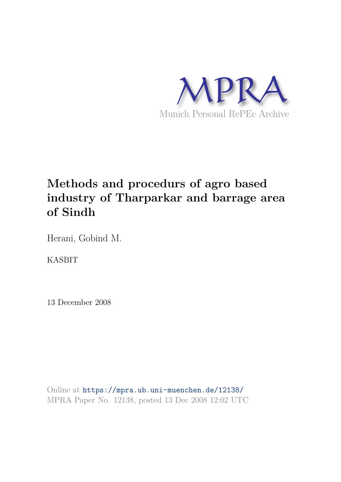

# **Methods and procedurs of agro based industry of Tharparkar and barrage area of Sindh**

Herani, Gobind M.

KASBIT

13 December 2008

Online at https://mpra.ub.uni-muenchen.de/12138/ MPRA Paper No. 12138, posted 13 Dec 2008 12:02 UTC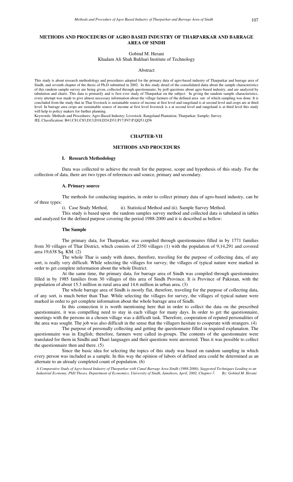### **METHODS AND PROCEDURS OF AGRO BASED INDUSTRY OF THARPARKAR AND BARRAGE AREA OF SINDH**

Gobind M. Herani

Khadam Ali Shah Bukhari Institute of Technology

#### Abstract

This study is about research methodology and procedures adopted for the primary data of agro-based industry of Tharparkar and barrage area of Sindh, and seventh chapter of the thesis of Ph.D submitted in 2002. In this study detail of the consolidated datta about the sample characteristics of this random sample survey are being given, collected through questionnaire, by poll questions about agro-based industry, and are analyzed by tabulation and charts. This data is primarily and is first ever study of Tharparkar on the subject. In giving the random sample characteristics, every attempt was made to give almost necessary information about the village farmers of the defined area out of which sampling was done. It is concluded from the study that in Thar livestock is sustainable source of income at first level and rangeland is at second level and crops are at third level. In barrage area crops are sustainable source of income at first level livestock is a at second level and rangeland is at third level this study will help to policy makers for further planning.

Keywords: Methods and Procedures; Agro-Based Industry; Livestock; Rangeland Plantation; Tharparkar; Sample; Survey JEL Classification: B41;C81;C83;D13;D18;D24;D31;P17;P47;P;QQ51;Q56

### **CHAPTER-VII**

### **METHODS AND PROCEDURS**

#### **I. Research Methodology**

Data was collected to achieve the result for the purpose, scope and hypothesis of this study. For the collection of data, there are two types of references and source, primary and secondary.

### **A. Primary source**

The methods for conducting inquiries, in order to collect primary data of agro-based industry, can be of three types:

i). Case Study Method, ii). Statistical Method and iii). Sample Survey Method.

This study is based upon the random samples survey method and collected data is tabulated in tables and analyzed for the defined purpose covering the period 1988-2000 and it is described as bellow:

#### **The Sample**

The primary data, for Tharparkar, was compiled through questionnaires filled in by 1771 families from 30 villages of Thar District, which consists of 2350 villages (1) with the population of 9,14,291 and covered area 19,638 Sq. KM. (2)

The whole Thar is sandy with dunes, therefore, traveling for the purpose of collecting data, of any sort, is really very difficult. While selecting the villages for survey, the villages of typical nature were marked in order to get complete information about the whole District.

At the same time, the primary data, for barrage area of Sindh was compiled through questionnaires filled in by 1985 families from 30 villages of this area of Sindh Province. It is Province of Pakistan, with the population of about 15.3 million in rural area and 14.6 million in urban area. (3)

The whole barrage area of Sindh is mostly flat, therefore, traveling for the purpose of collecting data, of any sort, is much better than Thar. While selecting the villages for survey, the villages of typical nature were marked in order to get complete information about the whole barrage area of Sindh.

In this connection it is worth mentioning here that in order to collect the data on the prescribed questionnaire, it was compelling need to stay in each village for many days. In order to get the questionnaire, meetings with the persons in a chosen village was a difficult task. Therefore, cooperation of reputed personalities of the area was sought. The job was also difficult in the sense that the villagers hesitate to cooperate with strangers. (4)

The purpose of personally collecting and getting the questionnaire filled in required explanation. The questionnaire was in English; therefore, farmers were called in-groups. The contents of the questionnaire were translated for them in Sindhi and Thari languages and their questions were answered. Thus it was possible to collect the questionnaire then and there. (5)

Since the basic idea for selecting the topics of this study was based on random sampling in which every person was included as a sample. In this way the opinion of labors of defined area could be determined as an alternate to an already completed count of population. (6)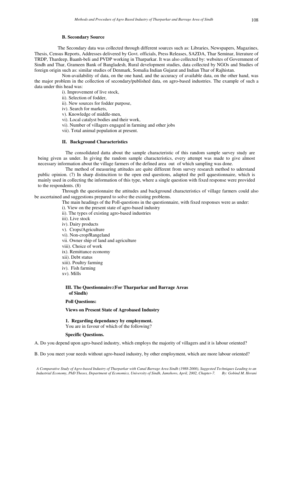### **B. Secondary Source**

 The Secondary data was collected through different sources such as: Libraries, Newspapers, Magazines, Thesis, Census Reports, Addresses delivered by Govt. officials, Press Releases, SAZDA, Thar Seminar, literature of TRDP, Thardeep, Baanh-beli and PVDP working in Tharparkar. It was also collected by: websites of Government of Sindh and Thar, Grameen Bank of Bangladesh, Rural development studies, data collected by NGOs and Studies of foreign origin such as: similar studies of Denmark, Somalia Indian Gujarat and Indian Thar of Rajhistan.

Non-availability of data, on the one hand, and the accuracy of available data, on the other hand, was the major problem in the collection of secondary/published data, on agro-based industries. The example of such a data under this head was:

- i). Improvement of live stock,
- ii). Selection of fodder,
- ii). New sources for fodder purpose,
- iv). Search for markets,
- v). Knowledge of middle-men,
- vi). Local catalyst bodies and their work,
- vi). Number of villagers engaged in farming and other jobs
- vii). Total animal population at present.

### **II. Background Characteristics**

The consolidated datta about the sample characteristic of this random sample survey study are being given as under. In giving the random sample characteristics, every attempt was made to give almost necessary information about the village farmers of the defined area out of which sampling was done.

The method of measuring attitudes are quite different from survey research method to uderstand public opinion. (7) In sharp distincition to the open end questions, adapted the poll qquestionnaire, which is mainly used in collecting the information of this type, where a single question with fixed response were provided to the respondents. (8)

Through the questionnaire the attitudes and background characteristics of village farmers could also be ascertained and suggestions prepared to solve the existing problems.

The main headings of the Poll-questions in the questionnaire, with fixed responses were as under:

- i). View on the present state of agro-based industry
- ii). The types of existing agro-based industries
- iii). Live stock
- iv). Dairy products
- v). Crops/Agriculture
- vi). Non-crop/Rangeland
- vii. Owner ship of land and agriculture
- viii). Choice of work
- ix). Remittance economy
- xii). Debt status
- xiii). Poultry farming
- iv). Fish farming
- xv). Mills

### **III. The Questionnaire:(For Tharparkar and Barrage Areas of Sindh)**

### **Poll Questions:**

**Views on Present State of Agrobased Industry** 

#### **1. Regarding dependancy by employment.**  You are in favour of which of the following?

**Specific Questions.** 

A. Do you depend upon agro-based industry, which employs the majority of villagers and it is labour oriented?

B. Do you meet your needs without agro-based industry, by other employment, which are more labour oriented?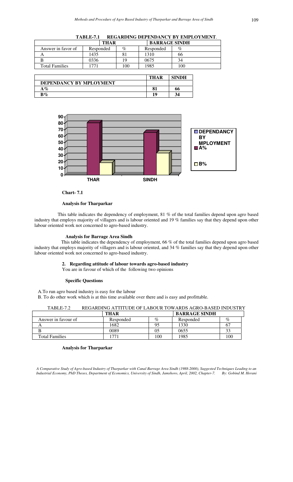| <b>TABLE-7.1</b> | <b>REGARDING DEPENDANCY BY EMPLOYMENT.</b> |
|------------------|--------------------------------------------|
|                  |                                            |

|                       | <b>THAR</b> | <b>BARRAGE SINDH</b> |           |     |
|-----------------------|-------------|----------------------|-----------|-----|
| Answer in favor of    | Responded   | $\%$                 | Responded | %   |
|                       | 435         |                      | 1310      | 66  |
|                       | 9336        | 19                   | 0675      | 34  |
| <b>Total Families</b> | 771         | 100                  | 1985      | 100 |

|                         | THAR | <b>SINDH</b> |
|-------------------------|------|--------------|
| DEPENDANCY BY MPLOYMENT |      |              |
| $\mathbf{A}\%$          | o·   | hh           |
| $\mathbf{B}\%$          | 10   | 34           |



**Chart- 7.1** 

 This table indicates the dependency of employment, 81 % of the total families depend upon agro based industry that employs majority of villagers and is labour oriented and 19 % families say that they depend upon other labour oriented work not concerned to agro-based industry.

### **Analysis for Barrage Area Sindh**

 This table indicates the dependency of employment, 66 % of the total families depend upon agro based industry that employs majority of villagers and is labour oriented, and 34 % families say that they depend upon other labour oriented work not concerned to agro-based industry.

### **2. Regarding attitude of labour towards agro-based industry**

You are in favour of which of the following two opinions

### **Specific Questions**

A.To run agro based industry is easy for the labour

B. To do other work which is at this time available over there and is easy and profittable.

| TABLE-7.2 | REGARDING ATTITUDE OF LABOUR TOWARDS AGRO-BASED INDUSTRY |  |  |
|-----------|----------------------------------------------------------|--|--|
|-----------|----------------------------------------------------------|--|--|

|                       | THAR      |      | <b>BARRAGE SINDH</b> |      |
|-----------------------|-----------|------|----------------------|------|
| Answer in favour of   | Responded | $\%$ | Responded            | $\%$ |
|                       | 1682      | 9.   | 1330                 |      |
|                       | 0089      | 05   | 0655                 | 33   |
| <b>Total Families</b> | 77        | .00  | 1985                 | 100  |

### **Analysis for Tharparkar**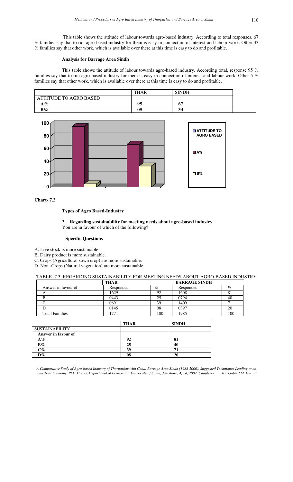This table shows the attitude of labour towards agro-based industry. According to total responses, 67 % families say that to run agro-based industry for them is easy in connection of interest and labour work. Other 33 % families say that other work, which is available over there at this time is easy to do and profitable.

### **Analysis for Barrage Area Sindh**

This table shows the attitude of labour towards agro-based industry. According total, response 95 % families say that to run agro-based industry for them is easy in connection of interest and labour work. Other 5 % families say that other work, which is available over there at this time is easy to do and profitable.

|                               | THAR | <b>SINDH</b> |  |
|-------------------------------|------|--------------|--|
| <b>ATTITUDE TO AGRO BASED</b> |      |              |  |
| $A\%$                         |      |              |  |
| $B\%$                         | U5   | ມມ           |  |



**Chart- 7.2** 

### **Types of Agro Based-Industry**

**3. Regarding sustainability for meeting needs about agro-based industry** You are in favour of which of the following?

### **Specific Questions**

- A. Live stock is more sustainable
- B. Dairy product is more sustainable.
- C. Crops (Agricultural sown crop) are more sustainable.
- D. Non -Crops (Natural vegetation) are more sustainable.

#### TABLE -7.3 REGARDING SUSTAINABILITY FOR MEETING NEEDS ABOUT AGRO-BASED INDUSTRY

|                       | <b>THAR</b> |      | <b>BARRAGE SINDH</b> |      |
|-----------------------|-------------|------|----------------------|------|
| Answer in favour of   | Responded   | $\%$ | Responded            | $\%$ |
| ¬                     | 1629        | 92   | 1608                 | 81   |
|                       | 0443        | 25   | 0794                 | 40   |
|                       | 0691        | 39   | 1409                 |      |
|                       | 0145        | 08   | 0397                 | 20   |
| <b>Total Families</b> | 1771        | 100  | 1985                 | 100  |

|                       | <b>THAR</b> | <b>SINDH</b> |
|-----------------------|-------------|--------------|
| <b>SUSTAINABILITY</b> |             |              |
| Answer in favour of   |             |              |
| $A\%$                 | 92          |              |
| $B\%$                 | 25          | 40           |
| $C\%$                 | 39          | 7            |
| $D\%$                 | 08          | 20           |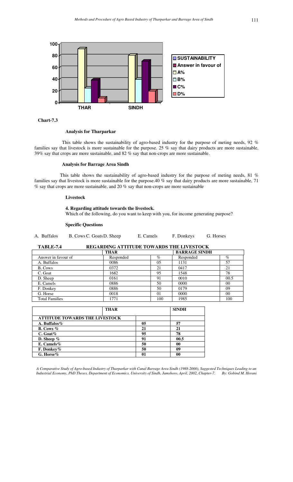

### **Analysis for Tharparkar**

This table shows the sustainability of agro-based industry for the purpose of meting needs, 92 % families say that livestock is more sustainable for the purpose. 25 % say that dairy products are more sustainable, 39% say that crops are more sustainable, and 82 % say that non-crops are more sustainable.

### **Analysis for Barrage Area Sindh**

 This table shows the sustainability of agro-based industry for the purpose of meting needs, 81 % families say that livestock is more sustainable for the purpose.40 % say that dairy products are more sustainable, 71 % say that crops are more sustainable, and 20 % say that non-crops are more sustainable

#### **Livestock**

### **4. Regarding attitude towards the livestock.**

Which of the following, do you want to keep with you, for income generating purpose?

### **Specific Questions**

### **TABLE-7.4 REGARDING ATTITUDE TOWARDS THE LIVESTOCK**

|                       | <b>THAR</b> |                | <b>BARRAGE SINDH</b> |      |
|-----------------------|-------------|----------------|----------------------|------|
| Answer in favour of   | Responded   | $\%$           | Responded            | $\%$ |
| A. Buffalos           | 0086        | 0 <sub>5</sub> | 1131                 | 57   |
| B. Cows               | 0372        | 21             | 0417                 | 21   |
| C. Goat               | 1682        | 95             | 1548                 | 78   |
| D. Sheep              | 0161        | 91             | 0010                 | 00.5 |
| E. Camels             | 0886        | 50             | 0000                 | 00   |
| F. Donkey             | 0886        | 50             | 0179                 | 09   |
| G. Horse              | 0018        | 0 <sub>1</sub> | 0000                 | 00   |
| <b>Total Families</b> | 1771        | 100            | 1985                 | 100  |

| <b>THAR</b>                           |    | <b>SINDH</b> |
|---------------------------------------|----|--------------|
| <b>ATTITUDE TOWARDS THE LIVESTOCK</b> |    |              |
| A. Buffalos%                          | 05 | 57           |
| <b>B.</b> Cows $%$                    | 21 | 21           |
| $C.$ Goat $%$                         | 95 | 78           |
| D. Sheep $%$                          | 91 | 00.5         |
| E. Camels%                            | 50 | 00           |
| F. Donkey%                            | 50 | 09           |
| G. Horse $%$                          | 01 | $\mathbf{0}$ |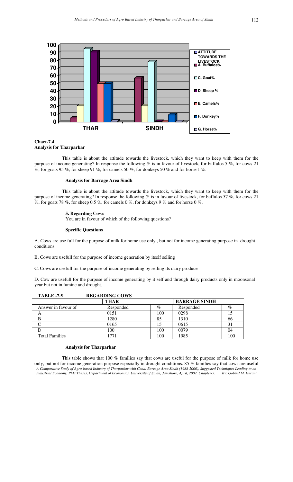

### **Chart-7.4 Analysis for Tharparkar**

This table is about the attitude towards the livestock, which they want to keep with them for the purpose of income generating? In response the following % is in favour of livestock, for buffalos 5 %, for cows 21 %, for goats 95 %, for sheep 91 %, for camels 50 %, for donkeys 50 % and for horse 1 %.

#### **Analysis for Barrage Area Sindh**

This table is about the attitude towards the livestock, which they want to keep with them for the purpose of income generating? In response the following % is in favour of livestock, for buffalos 57 %, for cows 21 %, for goats 78 %, for sheep 0.5 %, for camels 0 %, for donkeys 9 % and for horse 0 %.

#### **5. Regarding Cows**

You are in favour of which of the following questions?

#### **Specific Questions**

A. Cows are use full for the purpose of milk for home use only , but not for income generating purpose in drought conditions.

B. Cows are usefull for the purpose of income generation by itself selling

C. Cows are usefull for the purpose of income generating by selling its dairy produce

D. Cow are usefull for the purpose of income generating by it self and through dairy products only in moonsonal year but not in famine and drought.

| <b>TABLE -7.5</b>     | <b>REGARDING COWS</b> |      |                      |     |
|-----------------------|-----------------------|------|----------------------|-----|
|                       | <b>THAR</b>           |      | <b>BARRAGE SINDH</b> |     |
| Answer in favour of   | Responded             | $\%$ | Responded            | %   |
| A                     | 0151                  | 100  | 0298                 |     |
|                       | 1280                  | 85   | 1310                 | 66  |
|                       | 0165                  |      | 0615                 | 31  |
|                       | 100                   | 100  | 0079                 | 04  |
| <b>Total Families</b> | 1771                  | 100  | 1985                 | 100 |

#### **Analysis for Tharparkar**

*A Comparative Study of Agro-based Industry of Tharparkar with Canal Barrage Area Sindh (1988-2000), Suggested Techniques Leading to an Industrial Economy, PhD Theses, Department of Economics, University of Sindh, Jamshoro, April, 2002, Chapter-7. By: Gobind M. Herani*  This table shows that 100 % families say that cows are useful for the purpose of milk for home use only, but not for income generation purpose especially in drought conditions. 85 % families say that cows are useful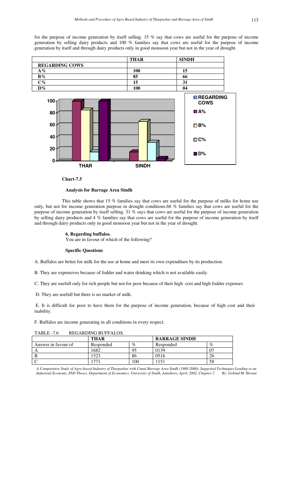for the purpose of income generation by itself selling. 15 % say that cows are useful for the purpose of income generation by selling dairy products and 100 % families say that cows are useful for the purpose of income generation by itself and through dairy products only in good monsoon year but not in the year of drought.



**Chart-7.5** 

#### **Analysis for Barrage Area Sindh**

This table shows that 15 % families say that cows are useful for the purpose of milks for home use only, but not for income generation purpose in drought conditions.66 % families say that cows are useful for the purpose of income generation by itself selling. 31 % says that cows are useful for the purpose of income generation by selling dairy products and 4 % families say that cows are useful for the purpose of income generation by itself and through dairy products only in good monsoon year but not in the year of drought.

### **6. Regarding buffalos.**

You are in favour of which of the following?

### **Specific Questions**

A. Buffalos are better for milk for the use at home and meet its own expenditure by its production.

B. They are expensives because of fodder and water drinking which is not available easily.

C. They are usefull only for rich people but not for poor because of their high cost and high fodder expenses

D. They are usefull but there is no market of milk.

 E. It is difficult for poor to have them for the purpose of income generation, because of high cost and their inability.

F. Buffalos are income generating in all conditions in every respect.

|                     | <b>THAR</b> |      | <b>BARRAGE SINDH</b> |      |
|---------------------|-------------|------|----------------------|------|
| Answer in favour of | Responded   | $\%$ | Responded            | $\%$ |
|                     | 1682        |      | 0139                 |      |
|                     | .523        | 86   | 0516                 | Ζh   |
|                     |             | 100  | 151                  | 58   |

## TABLE -7.6 REGARDING BUFFALOS.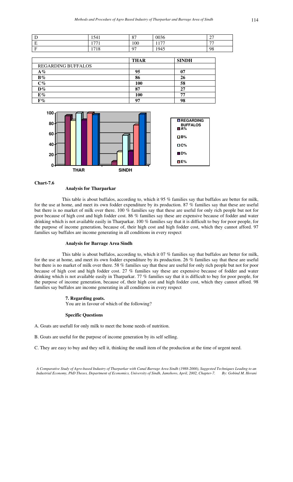|                          | 1541                          | O <sub>7</sub><br>$\mathbf{o}$ | 0036 | $\sim$<br>$\overline{\phantom{a}}$ |
|--------------------------|-------------------------------|--------------------------------|------|------------------------------------|
| $\overline{\phantom{0}}$ | $\overline{5}$<br><u> 1 T</u> | 100                            | 177  | $\overline{a}$                     |
| $\sim$                   | 1718                          | 07                             | 1945 | 98                                 |

|                           | <b>THAR</b> | <b>SINDH</b> |
|---------------------------|-------------|--------------|
| <b>REGARDING BUFFALOS</b> |             |              |
| $A\%$                     | 95          |              |
| $B\%$                     | 86          |              |
| $C\%$                     | 100         | 58           |
| $D\%$                     | 87          |              |
| $E\%$                     | 100         | 7.           |
| $F\%$                     | 07          | 98           |



### **Analysis for Tharparkar**

This table is about buffalos, according to, which it 95 % families say that buffalos are better for milk, for the use at home, and meet its own fodder expenditure by its production. 87 % families say that these are useful but there is no market of milk over there. 100 % families say that these are useful for only rich people but not for poor because of high cost and high fodder cost. 86 % families say these are expensive because of fodder and water drinking which is not available easily in Tharparkar. 100 % families say that it is difficult to buy for poor people, for the purpose of income generation, because of, their high cost and high fodder cost, which they cannot afford. 97 families say buffalos are income generating in all conditions in every respect

#### **Analysis for Barrage Area Sindh**

This table is about buffalos, according to, which it 07 % families say that buffalos are better for milk, for the use at home, and meet its own fodder expenditure by its production. 26 % families say that these are useful but there is no market of milk over there. 58 % families say that these are useful for only rich people but not for poor because of high cost and high fodder cost. 27 % families say these are expensive because of fodder and water drinking which is not available easily in Tharparkar. 77 % families say that it is difficult to buy for poor people, for the purpose of income generation, because of, their high cost and high fodder cost, which they cannot afford. 98 families say buffalos are income generating in all conditions in every respect

### **7. Regarding goats.**

You are in favour of which of the following?

### **Specific Questions**

- A. Goats are usefull for only milk to meet the home needs of nutrition.
- B. Goats are useful for the purpose of income generation by its self selling.

C. They are easy to buy and they sell it, thinking the small item of the production at the time of urgent need.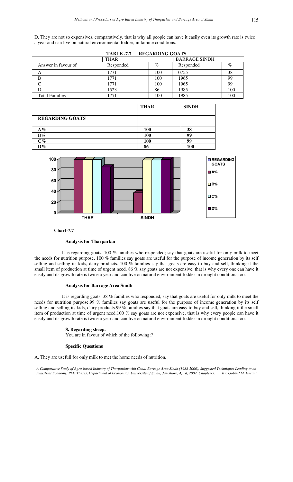D. They are not so expensives, comparatively, that is why all people can have it easily even its growth rate is twice a year and can live on natural environmental fodder, in famine conditions.

|                       |             | TABLE -7.7 REGARDING GOATS |                      |     |
|-----------------------|-------------|----------------------------|----------------------|-----|
|                       | <b>THAR</b> |                            | <b>BARRAGE SINDH</b> |     |
| Answer in favour of   | Responded   | $\%$                       | Responded            | %   |
| A                     | 1771        | 100                        | 0755                 | 38  |
|                       | 1771        | 100                        | 1965                 | 99  |
|                       | 1771        | 100                        | 1965                 | 99  |
|                       | 1523        | 86                         | 1985                 | 100 |
| <b>Total Families</b> | 1771        | 100                        | 1985                 | 100 |

|                        | <b>THAR</b> | <b>SINDH</b> |
|------------------------|-------------|--------------|
| <b>REGARDING GOATS</b> |             |              |
| $A\%$                  | <b>100</b>  | 38           |
| $B\%$                  | 100         | 99           |
| $\mathrm{C}\%$         | 100         | 99           |
| $D\%$                  | 86          | LOO          |



**Chart-7.7**

### **Analysis for Tharparkar**

It is regarding goats, 100 % families who responded; say that goats are useful for only milk to meet the needs for nutrition purpose. 100 % families say goats are useful for the purpose of income generation by its self selling and selling its kids, dairy products. 100 % families say that goats are easy to buy and sell, thinking it the small item of production at time of urgent need. 86 % say goats are not expensive, that is why every one can have it easily and its growth rate is twice a year and can live on natural environment fodder in drought conditions too.

### **Analysis for Barrage Area Sindh**

It is regarding goats, 38 % families who responded, say that goats are useful for only milk to meet the needs for nutrition purpose.99 % families say goats are useful for the purpose of income generation by its self selling and selling its kids, dairy products.99 % families say that goats are easy to buy and sell, thinking it the small item of production at time of urgent need.100 % say goats are not expensive, that is why every people can have it easily and its growth rate is twice a year and can live on natural environment fodder in drought conditions too.

### **8. Regarding sheep.**

You are in favour of which of the following:?

### **Specific Questions**

A. They are usefull for only milk to met the home needs of nutrition.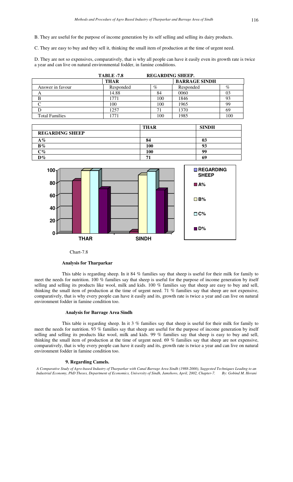B. They are useful for the purpose of income generation by its self selling and selling its dairy products.

C. They are easy to buy and they sell it, thinking the small item of production at the time of urgent need.

D. They are not so expensives, comparatively, that is why all people can have it easily even its growth rate is twice a year and can live on natural environmental fodder, in famine conditions.

|                       | <b>TABLE -7.8</b> | <b>REGARDING SHEEP.</b> |                      |      |
|-----------------------|-------------------|-------------------------|----------------------|------|
|                       | <b>THAR</b>       |                         | <b>BARRAGE SINDH</b> |      |
| Answer in favour      | Responded         | $\%$                    | Responded            | $\%$ |
| $\mathsf{A}$          | 14.88             | 84                      | 0060                 | 03   |
|                       | 1771              | 100                     | 1846                 | 93   |
|                       | 100               | 100                     | 1965                 | 99   |
|                       | 1257              |                         | 1370                 | 69   |
| <b>Total Families</b> |                   | 100                     | 1985                 | 100  |

|                        | <b>THAR</b> | <b>SINDH</b> |
|------------------------|-------------|--------------|
| <b>REGARDING SHEEP</b> |             |              |
| $A\%$                  | 84          | 03           |
| $B\%$                  | 100         | 93           |
| $\rm{C}\%$             | 100         | 99           |
| $\mathbf{D}\%$         | 71          | 69           |



Chart-7.8

#### **Analysis for Tharparkar**

This table is regarding sheep. In it 84 % families say that sheep is useful for their milk for family to meet the needs for nutrition. 100 % families say that sheep is useful for the purpose of income generation by itself selling and selling its products like wool, milk and kids. 100 % families say that sheep are easy to buy and sell, thinking the small item of production at the time of urgent need. 71 % families say that sheep are not expensive, comparatively, that is why every people can have it easily and its, growth rate is twice a year and can live on natural environment fodder in famine condition too.

### **Analysis for Barrage Area Sindh**

This table is regarding sheep. In it 3 % families say that sheep is useful for their milk for family to meet the needs for nutrition. 93 % families say that sheep are useful for the purpose of income generation by itself selling and selling its products like wool, milk and kids. 99 % families say that sheep is easy to buy and sell, thinking the small item of production at the time of urgent need. 69 % families say that sheep are not expensive, comparatively, that is why every people can have it easily and its, growth rate is twice a year and can live on natural environment fodder in famine condition too.

#### **9. Regarding Camels.**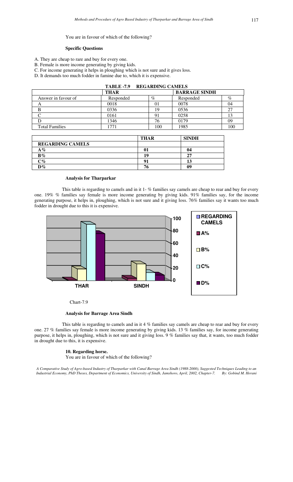#### You are in favour of which of the following?

### **Specific Questions**

A. They are cheap to rare and buy for every one.

B. Female is more income generating by giving kids.

- C. For income generating it helps in ploughing which is not sure and it gives loss.
- D. It demands too much fodder in famine due to, which it is expensive.

|                       | TABLE -7.9 REGARDING CAMELS |         |                      |      |  |
|-----------------------|-----------------------------|---------|----------------------|------|--|
|                       | <b>THAR</b>                 |         | <b>BARRAGE SINDH</b> |      |  |
| Answer in favour of   | Responded                   | $\%$    | Responded            | $\%$ |  |
| A                     | 0018                        | $_{01}$ | 0078                 | 04   |  |
|                       | 0336                        | 19      | 0536                 | 27   |  |
|                       | 0161                        | 91      | 0258                 | 13   |  |
|                       | 1346                        | 76      | 0179                 | 09   |  |
| <b>Total Families</b> | 1771                        | 100     | 1985                 | 100  |  |

|                         | <b>THAR</b> | <b>SINDH</b> |
|-------------------------|-------------|--------------|
| <b>REGARDING CAMELS</b> |             |              |
| $A\%$                   |             |              |
| $B\%$                   | 19          |              |
| $\degree$               | Q1          |              |
| $\mathbf{D}\%$          | 76          | 09           |

### **Analysis for Tharparkar**

This table is regarding to camels and in it 1- % families say camels are cheap to rear and buy for every one. 19% % families say female is more income generating by giving kids. 91% families say, for the income generating purpose, it helps in, ploughing, which is not sure and it giving loss. 76% families say it wants too much fodder in drought due to this it is expensive.



Chart-7.9

### **Analysis for Barrage Area Sindh**

This table is regarding to camels and in it 4 % families say camels are cheap to rear and buy for every one. 27 % families say female is more income generating by giving kids. 13 % families say, for income generating purpose, it helps in, ploughing, which is not sure and it giving loss. 9 % families say that, it wants, too much fodder in drought due to this, it is expensive.

### **10. Regarding horse.**

You are in favour of which of the following?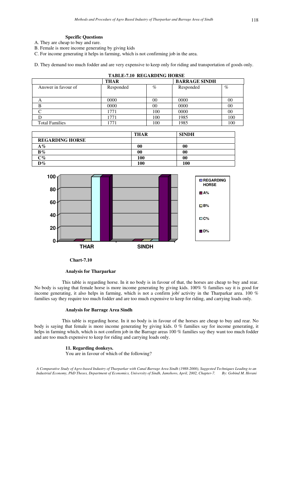### **Specific Questions**

- A. They are cheap to buy and rare.
- B. Female is more income generating by giving kids
- C. For income generating it helps in farming, which is not confirming job in the area.

D. They demand too much fodder and are very expensive to keep only for riding and transportation of goods only.

| <b>TABLE-7.10 REGARDING HORSE</b> |           |      |                      |      |  |
|-----------------------------------|-----------|------|----------------------|------|--|
| <b>THAR</b>                       |           |      | <b>BARRAGE SINDH</b> |      |  |
| Answer in favour of               | Responded | $\%$ | Responded            | $\%$ |  |
|                                   |           |      |                      |      |  |
| A                                 | 0000      | 00   | 0000                 | 00   |  |
| B                                 | 0000      | 00   | 0000                 | 00   |  |
|                                   | 1771      | 100  | 0000                 | 00   |  |
|                                   | 1771      | 100  | 1985                 | 100  |  |
| <b>Total Families</b>             | 1771      | 100  | 1985                 | 100  |  |

|                        | <b>THAR</b> | <b>SINDH</b> |
|------------------------|-------------|--------------|
| <b>REGARDING HORSE</b> |             |              |
| $A\%$                  | 00          | 00           |
| $B\%$                  | 00          | 00           |
| $C\%$                  | <b>100</b>  | 00           |
| $\mathbf{D}\%$         | 100         | 100          |



 **Chart-7.10** 

**Analysis for Tharparkar** 

This table is regarding horse. In it no body is in favour of that, the horses are cheap to buy and rear. No body is saying that female horse is more income generating by giving kids. 100% % families say it is good for income generating, it also helps in farming, which is not a confirm job/ activity in the Tharparkar area. 100 % families say they require too much fodder and are too much expensive to keep for riding, and carrying loads only.

### **Analysis for Barrage Area Sindh**

This table is regarding horse. In it no body is in favour of the horses are cheap to buy and rear. No body is saying that female is more income generating by giving kids. 0 % families say for income generating, it helps in farming which, which is not confirm job in the Barrage areas 100 % families say they want too much fodder and are too much expensive to keep for riding and carrying loads only.

### **11. Regarding donkeys.**

You are in favour of which of the following?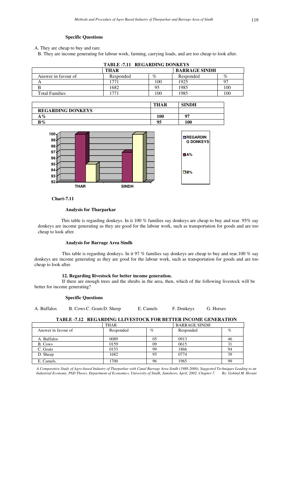### **Specific Questions**

A. They are cheap to buy and rare.

B. They are income generating for labour work, farming, carrying loads, and are too cheap to look after.

| <b>TABLE -7.11 REGARDING DONKEYS</b> |           |      |           |     |  |
|--------------------------------------|-----------|------|-----------|-----|--|
| <b>BARRAGE SINDH</b><br>THAR         |           |      |           |     |  |
| Answer in favour of                  | Responded | $\%$ | Responded | %   |  |
|                                      |           | 100  | 1925      |     |  |
|                                      | 1682      | 95   | 1985      | 100 |  |
| <b>Total Families</b>                | 77.       | 100  | 1985      | 100 |  |

|                          | <b>THAR</b> | <b>SINDH</b> |
|--------------------------|-------------|--------------|
| <b>REGARDING DONKEYS</b> |             |              |
| $A\%$                    | 100         | 07           |
| $B\%$                    | 95          | 100          |



 **Chart-7.11** 

### **Analysis for Tharparkar**

 This table is regarding donkeys. In it 100 % families say donkeys are cheap to buy and rear. 95% say donkeys are income generating as they are good for the labour work, such as transportation for goods and are too cheap to look after.

### **Analysis for Barrage Area Sindh**

This table is regarding donkeys. In it 97 % families say donkeys are cheap to buy and rear.100 % say donkeys are income generating as they are good for the labour work, such as transportation for goods and are too cheap to look after.

### **12. Regarding llivestock for better income generation.**

If there are enough trees and the shrubs in the area, then, which of the following livestock will be better for income generating?

### **Specific Questions**

A. Buffalos B. Cows C. Goats D. Sheep E. Camels F. Donkeys G. Horses

### **TABLE -7.12 REGARDING LLIVESTOCK FOR BETTER INCOME GENERATION**

|                     | <b>THAR</b> |      | <b>BARRAGE SINDH</b> |      |
|---------------------|-------------|------|----------------------|------|
| Answer in favour of | Responded   | $\%$ | Responded            | $\%$ |
| A. Buffalos         | 0089        | 05   | 0913                 | 46   |
| B. Cows             | 0159        | 09   | 0615                 | 31   |
| C. Goats            | 0153        | 99   | 1866                 | 94   |
| D. Sheep            | 1682        | 95   | 0774                 | 39   |
| E. Camels.          | 1700        | 96   | 1965                 | 99   |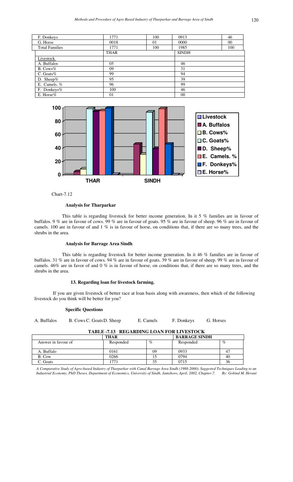| F. Donkeys            | 1771        | 100 | 0913         | 46     |
|-----------------------|-------------|-----|--------------|--------|
| G. Horse              | 0018        | 01  | 0000         | $00\,$ |
| <b>Total Families</b> | 1771        | 100 | 1985         | 100    |
|                       | <b>THAR</b> |     | <b>SINDH</b> |        |
| Livestock             |             |     |              |        |
| A. Buffalos           | 05          |     | 46           |        |
| $B. \text{Cows}\%$    | 09          |     | 31           |        |
| C. Goats $%$          | 99          |     | 94           |        |
| D. Sheep $%$          | 95          |     | 39           |        |
| E. Camels. %          | 96          |     | 99           |        |
| F. Donkeys%           | 100         |     | 46           |        |
| E. Horse%             | 01          |     | 00           |        |



Chart-7.12

This table is regarding livestock for better income generation. In it 5 % families are in favour of buffalos. 9 % are in favour of cows. 99 % are in favour of goats. 95 % are in favour of sheep. 96 % are in favour of camels. 100 are in favour of and 1 % is in favour of horse, on conditions that, if there are so many trees, and the shrubs in the area.

#### **Analysis for Barrage Area Sindh**

This table is regarding livestock for better income generation. In it 46 % families are in favour of buffalos. 31 % are in favour of cows. 94 % are in favour of goats. 39 % are in favour of sheep. 99 % are in favour of camels. 46% are in favor of and 0 % is in favour of horse, on conditions that, if there are so many trees, and the shrubs in the area.

### **13. Regarding loan for livestock farming.**

 If you are given livestock of better race at loan basis along with awareness, then which of the following livestock do you think will be better for you?

### **Specific Questions**

| A. Buffalos |
|-------------|
|-------------|

B. Cows C. Goats D. Sheep E. Camels F. Donkeys G. Horses

### **TABLE -7.13 REGARDING LOAN FOR LIVESTOCK**

|                     | THAR      |      | <b>BARRAGE SINDH</b> |      |
|---------------------|-----------|------|----------------------|------|
| Answer in favour of | Responded | $\%$ | Responded            | $\%$ |
|                     |           |      |                      |      |
| A. Buffalo          | 0161      | 09   | 0933                 |      |
| B. Cow              | 0266      |      | 0794                 | 40   |
| C. Goats            | 77        |      | 0715                 | 30   |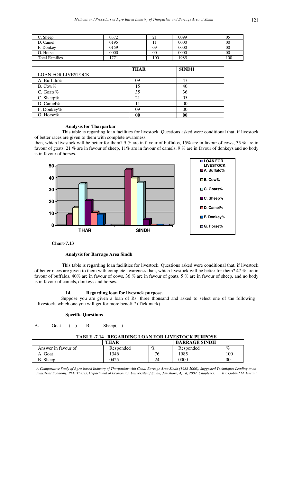| C. Sheep              | 0372 |     | 0099 | 05     |
|-----------------------|------|-----|------|--------|
| D. Camel              | 0195 |     | 0000 | 00     |
| F. Donkey             | 0159 | 09  | 0000 | 00     |
| G. Horse              | 0000 | 00  | 0000 | $00\,$ |
| <b>Total Families</b> | 77   | 100 | 1985 | 100    |

|                           | <b>THAR</b> | <b>SINDH</b> |
|---------------------------|-------------|--------------|
| <b>LOAN FOR LIVESTOCK</b> |             |              |
| A. Buffalo%               | 09          |              |
| $B. \text{Cow}\%$         | . 5         | 40           |
| C. Goats%                 | 35          | 36           |
| C. Sheep $%$              | 21          | 05           |
| D. Camel $%$              |             | 00           |
| F. Donkey%                | 09          | 00           |
| G. Horse $%$              |             |              |

This table is regarding loan facilities for livestock. Questions asked were conditional that, if livestock of better races are given to them with complete awareness

then, which livestock will be better for them? 9 % are in favour of buffalos, 15% are in favour of cows, 35 % are in favour of goats, 21 % are in favour of sheep, 11% are in favour of camels, 9 % are in favour of donkeys and no body is in favour of horses.



### **Chart-7.13**

#### **Analysis for Barrage Area Sindh**

This table is regarding loan facilities for livestock. Questions asked were conditional that, if livestock of better races are given to them with complete awareness than, which livestock will be better for them? 47 % are in favour of buffalos, 40% are in favour of cows, 36 % are in favour of goats, 5 % are in favour of sheep, and no body is in favour of camels, donkeys and horses.

### **14. Regarding loan for livestock purpose.**

 Suppose you are given a loan of Rs. three thousand and asked to select one of the following livestock, which one you will get for more benefit? (Tick mark)

### **Specific Questions**

A. Goat ( ) B. Sheep( )

#### **TABLE -7.14 REGARDING LOAN FOR LIVESTOCK PURPOSE**

|                     | <b>THAR</b> |      | <b>BARRAGE SINDH</b> |      |
|---------------------|-------------|------|----------------------|------|
| Answer in favour of | Responded   | $\%$ | Responded            | $\%$ |
| Goat<br>Α.          | 346         | ′б   | 1985                 | 100  |
| . Sheep             | 0425        | 24   | 0000                 | 00   |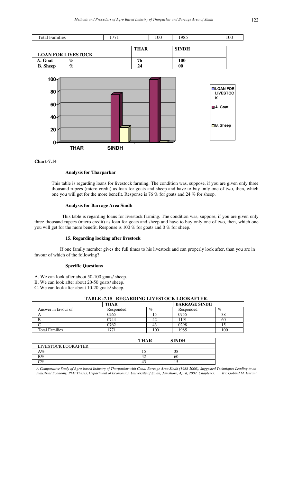

### **Analysis for Tharparkar**

This table is regarding loans for livestock farming. The condition was, suppose, if you are given only three thousand rupees (micro credit) as loan for goats and sheep and have to buy only one of two, then, which one you will get for the more benefit. Response is 76 % for goats and 24 % for sheep.

### **Analysis for Barrage Area Sindh**

This table is regarding loans for livestock farming. The condition was, suppose, if you are given only three thousand rupees (micro credit) as loan for goats and sheep and have to buy only one of two, then, which one you will get for the more benefit. Response is 100 % for goats and 0 % for sheep.

### **15. Regarding looking after livestock**

 If one family member gives the full times to his livestock and can properly look after, than you are in favour of which of the following?

### **Specific Questions**

- A. We can look after about 50-100 goats/ sheep.
- B. We can look after about 20-50 goats/ sheep.
- C. We can look after about 10-20 goats/ sheep.

| THAR      |     | <b>BARRAGE SINDH</b> |      |
|-----------|-----|----------------------|------|
| Responded | %   | Responded            | $\%$ |
| 0265      |     | 0755                 | 38   |
| 0744      |     | 191                  | 60   |
| 0762      |     | 0298                 |      |
|           | 100 | 1985                 | 100  |
|           |     |                      |      |

### **TABLE -7.15 REGARDING LIVESTOCK LOOKAFTER**.

|                     | <b>THAR</b> | <b>SINDH</b> |
|---------------------|-------------|--------------|
| LIVESTOCK LOOKAFTER |             |              |
| $A\%$               | ⊥ ~         | 38           |
| $B\%$               | т∠.         | 60           |
| $\mathbb{C}\%$      |             |              |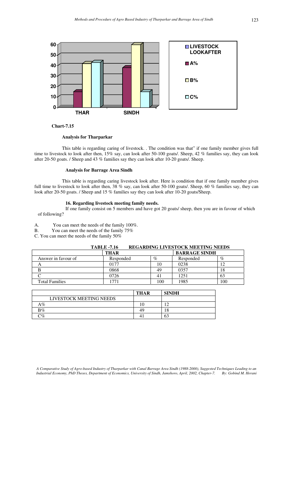

### **Analysis for Tharparkar**

This table is regarding caring of livestock. . The condition was that" if one family member gives full time to livestock to look after then, 15% say, can look after 50-100 goats/. Sheep, 42 % families say, they can look after 20-50 goats. / Sheep and 43 % families say they can look after 10-20 goats/. Sheep.

### **Analysis for Barrage Area Sindh**

This table is regarding caring livestock look after. Here is condition that if one family member gives full time to livestock to look after then, 38 % say, can look after 50-100 goats/. Sheep, 60 % families say, they can look after 20-50 goats. / Sheep and 15 % families say they can look after 10-20 goats/Sheep.

#### **16. Regarding livestock meeting family needs.**

If one family consist on 5 members and have got 20 goats/ sheep, then you are in favour of which of following?

A. You can meet the needs of the family 100%.

B. You can meet the needs of the family 75%

C. You can meet the needs of the family 50%

# **TABLE -7.16 REGARDING LIVESTOCK MEETING NEEDS**

|                       | <b>THAR</b>              |      | <b>BARRAGE SINDH</b> |      |
|-----------------------|--------------------------|------|----------------------|------|
| Answer in favour of   | Responded                | $\%$ | Responded            | $\%$ |
| A                     | ን177                     |      | 0238                 | 1 ງ  |
|                       | 0868                     | 49   | 0357                 | 18   |
|                       | )726                     |      | 1251                 | 63   |
| <b>Total Families</b> | $\overline{\phantom{a}}$ | 100  | 1985                 | 100  |

|                         | THAR | <b>SINDH</b> |
|-------------------------|------|--------------|
| LIVESTOCK MEETING NEEDS |      |              |
| $A\%$                   |      |              |
| $B\%$                   | 49   | C<br>۱O      |
| $\gamma_{\%}$           |      | 63           |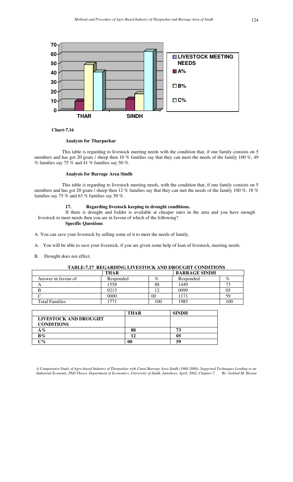

### **Analysis for Tharparkar**

This table is regarding to livestock meeting needs with the condition that, if one family consists on 5 members and has got 20 goats / sheep then 10 % families say that they can meet the needs of the family 100 %, 49 % families say 75 % and 41 % families say 50 %.

### **Analysis for Barrage Area Sindh**

This table is regarding to livestock meeting needs, with the condition that, if one family consists on 5 members and has got 20 goats / sheep then 12 % families say that they can met the needs of the family 100 %, 18 % families say 75 % and 63 % families say 50 %.

### **17. Regarding livestock keeping in drought conditions.**

If there is drought and fodder is available at cheaper rates in the area and you have enough livestock to meet needs then you are in favour of which of the following?

### **Specific Questions**

A. You can save your livestock by selling some of it to meet the needs of family.

- A. You will be able to save your livestock, if you are given some help of loan of livestock, meeting needs.
- B. Drought does not effect.

### **TABLE-7.17 REGARDING LIVESTOCK AND DROUGHT CONDITIONS**

|                       | <b>THAR</b> |     | <b>BARRAGE SINDH</b> |     |
|-----------------------|-------------|-----|----------------------|-----|
| Answer in favour of   | Responded   | %   | Responded            | %   |
|                       | 1558        | 88  | 1449                 |     |
|                       | 0213        |     | 0099                 | 05  |
|                       | 0000        | 00  | 1171                 | 59  |
| <b>Total Families</b> | 771         | 100 | 1985                 | 100 |

|                          | <b>THAR</b> | <b>SINDH</b> |
|--------------------------|-------------|--------------|
| LIVESTOCK AND DROUGHT    |             |              |
| <b>CONDITIONS</b>        |             |              |
| $\mathbf{A}\mathcal{\%}$ | 88          | 73           |
| $B\%$                    | I٥          | 05           |
| $\mathcal{C}$ %          | $\bf{00}$   | 59           |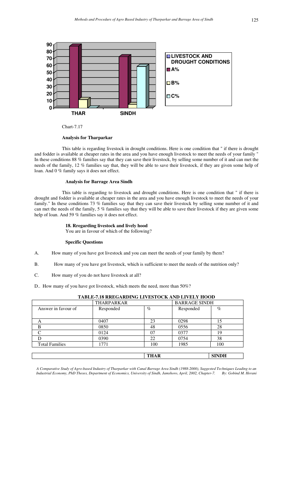

Chart-7.17

This table is regarding livestock in drought conditions. Here is one condition that " if there is drought and fodder is available at cheaper rates in the area and you have enough livestock to meet the needs of your family " In these conditions 88 % families say that they can save their livestock, by selling some number of it and can met the needs of the family, 12 % families say that, they will be able to save their livestock, if they are given some help of loan. And 0 % family says it does not effect.

### **Analysis for Barrage Area Sindh**

This table is regarding to livestock and drought conditions. Here is one condition that " if there is drought and fodder is available at cheaper rates in the area and you have enough livestock to meet the needs of your family." In these conditions 73 % families say that they can save their livestock by selling some number of it and can met the needs of the family, 5 % families say that they will be able to save their livestock if they are given some help of loan. And 59 % families say it does not effect.

### **18. Rregarding livestock and lively hood**

You are in favour of which of the following?

### **Specific Questions**

- A. How many of you have got livestock and you can meet the needs of your family by them?
- B. How many of you have got livestock, which is sufficient to meet the needs of the nutrition only?
- C. How many of you do not have livestock at all?
- D.. How many of you have got livestock, which meets the need, more than 50%?

|                       | THARPARKAR |             |           | <b>BARRAGE SINDH</b> |
|-----------------------|------------|-------------|-----------|----------------------|
| Answer in favour of   | Responded  | $\%$        | Responded | $\%$                 |
|                       |            |             |           |                      |
| А                     | 0407       | 23          | 0298      | 15                   |
| B                     | 0850       | 48          | 0556      | 28                   |
|                       | 0124       | 07          | 0377      | 19                   |
|                       | 0390       | 22          | 0754      | 38                   |
| <b>Total Families</b> | 1771       | 100         | 1985      | 100                  |
|                       |            |             |           |                      |
|                       |            | <b>THAR</b> |           | <b>SINDH</b>         |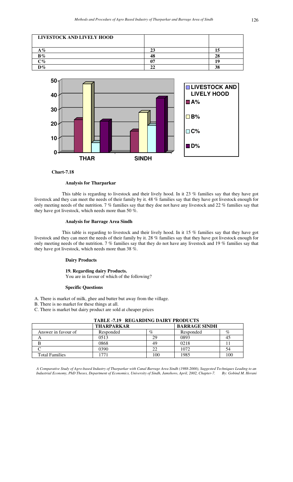



#### **Analysis for Tharparkar**

This table is regarding to livestock and their lively hood. In it 23 % families say that they have got livestock and they can meet the needs of their family by it. 48 % families say that they have got livestock enough for only meeting needs of the nutrition. 7 % families say that they doe not have any livestock and 22 % families say that they have got livestock, which needs more than 50 %.

### **Analysis for Barrage Area Sindh**

This table is regarding to livestock and their lively hood. In it 15 % families say that they have got livestock and they can meet the needs of their family by it. 28 % families say that they have got livestock enough for only meeting needs of the nutrition. 7 % families say that they do not have any livestock and 19 % families say that they have got livestock, which needs more than 38 %.

### **Dairy Products**

### **19. Regarding dairy Products.**

You are in favour of which of the following?

#### **Specific Questions**

- A. There is market of milk, ghee and butter but away from the village.
- B. There is no market for these things at all.
- C. There is market but dairy product are sold at cheaper prices

| TABLE -7.19 - REGARDING DAIRT PRODUCTS |                   |      |                      |      |  |
|----------------------------------------|-------------------|------|----------------------|------|--|
|                                        | <b>THARPARKAR</b> |      | <b>BARRAGE SINDH</b> |      |  |
| Answer in favour of                    | Responded         | $\%$ | Responded            | $\%$ |  |
| A                                      | 0513              | 29   | 0893                 | 45   |  |
| B                                      | 0868              | 49   | 0218                 |      |  |
|                                        | 0390              |      | 1072                 | 54   |  |
| <b>Total Families</b>                  | 771               | 100  | 1985                 | 100  |  |

### **TABLE -7.19 REGARDING DAIRY PRODUCTS**

*A Comparative Study of Agro-based Industry of Tharparkar with Canal Barrage Area Sindh (1988-2000), Suggested Techniques Leading to an I* Compartming Structures 2008, Department of Economics, University of Sindh, Jamshoro, April, 2002, Chapter-7.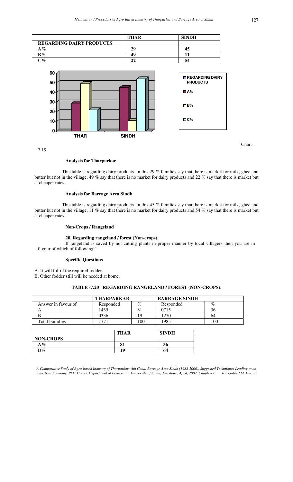|                                 | <b>THAR</b> | <b>SINDH</b> |
|---------------------------------|-------------|--------------|
| <b>REGARDING DAIRY PRODUCTS</b> |             |              |
| $\rm A$ %                       | 29          |              |
| $B\%$                           | 49          |              |
| $\gamma q_0$                    |             |              |
|                                 |             |              |



This table is regarding dairy products. In this 29 % families say that there is market for milk, ghee and butter but not in the village, 49 % say that there is no market for dairy products and 22 % say that there is market but at cheaper rates.

### **Analysis for Barrage Area Sindh**

This table is regarding dairy products. In this 45 % families say that there is market for milk, ghee and butter but not in the village, 11 % say that there is no market for dairy products and 54 % say that there is market but at cheaper rates.

### **Non-Crops / Rangeland**

### **20. Regarding rangeland / forest (Non-crops).**

If rangeland is saved by not cutting plants in proper manner by local villagers then you are in favour of which of following?

#### **Specific Questions**

A. It will fulfill the required fodder.

B. Other fodder still will be needed at home.

### **TABLE -7.20 REGARDING RANGELAND / FOREST (NON-CROPS**).

|                       | <b>THARPARKAR</b> |      | <b>BARRAGE SINDH</b> |      |
|-----------------------|-------------------|------|----------------------|------|
| Answer in favour of   | Responded         | $\%$ | Responded            | $\%$ |
|                       | 1435              |      | 0715                 | 36   |
|                       | 0336              | 19   | 1270                 | 64   |
| <b>Total Families</b> |                   | .00  | 1985                 | 100  |

|                  | <b>THAR</b> | <b>SINDH</b> |
|------------------|-------------|--------------|
| <b>NON-CROPS</b> |             |              |
| $A\%$            |             | 90           |
| $B\%$            | 19          | 64           |

*A Comparative Study of Agro-based Industry of Tharparkar with Canal Barrage Area Sindh (1988-2000), Suggested Techniques Leading to an Industrial Economy, PhD Theses, Department of Economics, University of Sindh, Jamshoro, April, 2002, Chapter-7. By: Gobind M. Herani* 

Chart-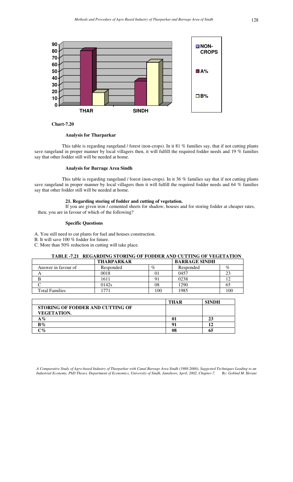

### **Analysis for Tharparkar**

This table is regarding rangeland / forest (non-crops). In it 81 % families say, that if not cutting plants save rangeland in proper manner by local villagers then, it will fulfill the required fodder needs and 19 % families say that other fodder still will be needed at home.

### **Analysis for Barrage Area Sindh**

This table is regarding rangeland / forest (non-crops). In it 36 % families say that if not cutting plants save rangeland in proper manner by local villagers then it will fulfill the required fodder needs and 64 % families say that other fodder still will be needed at home.

### **21. Regarding storing of fodder and cutting of vegetation.**

If you are given iron / cemented sheets for shadow, houses and for storing fodder at cheaper rates, then, you are in favour of which of the following?

### **Specific Questions**

- A. You still need to cut plants for fuel and houses construction.
- B. It will save 100 % fodder for future.
- C. More than 50% reduction in cutting will take place.

### **TABLE -7.21 REGARDING STORING OF FODDER AND CUTTING OF VEGETATION**

|                       | <b>THARPARKAR</b> |      | <b>BARRAGE SINDH</b> |     |
|-----------------------|-------------------|------|----------------------|-----|
| Answer in favour of   | Responded         | $\%$ | Responded            | %   |
|                       | 0018              | O I  | 0457                 | 23  |
|                       | 1611              |      | 0238                 |     |
|                       | 0142s             | 08   | 1290                 | OD. |
| <b>Total Families</b> | $77^{\circ}$      | 100  | 1985                 | 100 |

|                                  | <b>THAR</b> | <b>SINDH</b> |
|----------------------------------|-------------|--------------|
| STORING OF FODDER AND CUTTING OF |             |              |
| <b>VEGETATION.</b>               |             |              |
| $A\%$                            |             | 23           |
| $B\%$                            | Q.          |              |
| $\mathbb{C}\%$                   | 08          | 65           |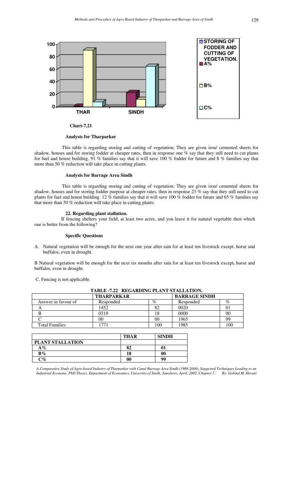

**Chart-7.21**

This table is regarding storing and cutting of vegetation; They are given iron/ cemented sheets for shadow, houses and for storing fodder at cheaper rates, then in response one % say that they still need to cut plants for fuel and house building. 91 % families say that it will save 100 % fodder for future and 8 % families say that more than 50 % reduction will take place in cutting plants.

### **Analysis for Barrage Area Sindh**

This table is regarding storing and cutting of vegetation; They are given iron/ cemented sheets for shadow, houses and for storing fodder purpose at cheaper rates, then in response  $23\%$  say that they still need to cut plants for fuel and house building. 12 % families say that it will save 100 % fodder for future and 65 % families say that more than 50 % reduction will take place in cutting plants.

#### **22. Regarding plant stallation.**

 If fencing shelters your field, at least two acres, and you leave it for natural vegetable then which one is better from the following?

### **Specific Questions**

A. Natural vegetation will be enough for the next one year after rain for at least ten livestock except, horse and buffalos, even in drought.

B Natural vegetation will be enough for the next six months after rain for at least ten livestock except, horse and buffalos, even in drought.

C. Fencing is not applicable.

| TABLE -7.22 REGARDING PLANT STALLATION. |                   |     |                      |     |
|-----------------------------------------|-------------------|-----|----------------------|-----|
|                                         | <b>THARPARKAR</b> |     | <b>BARRAGE SINDH</b> |     |
| Answer in favour of                     | Responded         | %   | Responded            | %   |
| A                                       | 1452              | 82  | 0020                 |     |
|                                         | 0319              | 18  | 0000                 | 00  |
|                                         | 00                | 00  | 1965                 | 99  |
| <b>Total Families</b>                   |                   | 100 | 1985                 | 100 |

|                  | <b>THAR</b>    | <b>SINDH</b> |
|------------------|----------------|--------------|
| PLANT STALLATION |                |              |
| $A\%$            | 82             |              |
| $B\%$            | 18             | 00           |
| $\mathbb{C}$ %   | 0 <sup>0</sup> | 99           |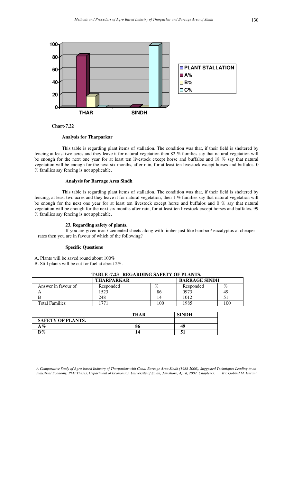

 **Chart-7.22** 

This table is regarding plant items of stallation. The condition was that, if their field is sheltered by fencing at least two acres and they leave it for natural vegetation then 82 % families say that natural vegetation will be enough for the next one year for at least ten livestock except horse and buffalos and 18 % say that natural vegetation will be enough for the next six months, after rain, for at least ten livestock except horses and buffalos. 0 % families say fencing is not applicable.

### **Analysis for Barrage Area Sindh**

This table is regarding plant items of stallation. The condition was that, if their field is sheltered by fencing, at least two acres and they leave it for natural vegetation; then 1 % families say that natural vegetation will be enough for the next one year for at least ten livestock except horse and buffalos and 0 % say that natural vegetation will be enough for the next six months after rain, for at least ten livestock except horses and buffalos. 99 % families say fencing is not applicable.

### **23. Regarding safety of plants.**

If you are given iron / cemented sheets along with timber just like bamboo/ eucalyptus at cheaper rates then you are in favour of which of the following?

### **Specific Questions**

A. Plants will be saved round about 100%

B. Still plants will be cut for fuel at about 2%.

| TABLE -7.23 REGARDING SAFETY OF PLANTS.   |           |                |           |      |
|-------------------------------------------|-----------|----------------|-----------|------|
| <b>BARRAGE SINDH</b><br><b>THARPARKAR</b> |           |                |           |      |
| Answer in favour of                       | Responded | %              | Responded | $\%$ |
|                                           | 1523      | 86             | 0973      | 49   |
|                                           | 248       |                | 1012      |      |
| <b>Total Families</b>                     |           | 0 <sup>0</sup> | 1985      | 100  |

|                          | <b>THAR</b> | <b>SINDH</b> |
|--------------------------|-------------|--------------|
| <b>SAFETY OF PLANTS.</b> |             |              |
| $\mathbf{A}\,\%$         | 86          | 49           |
| $\mathbf{B}\%$           | 14          |              |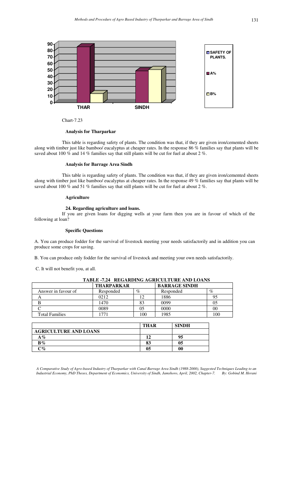

Chart-7.23

This table is regarding safety of plants. The condition was that, if they are given iron/cemented sheets along with timber just like bamboo/ eucalyptus at cheaper rates. In the response 86 % families say that plants will be saved about 100  $\tilde{\%}$  and 14 % families say that still plants will be cut for fuel at about 2 %.

### **Analysis for Barrage Area Sindh**

This table is regarding safety of plants. The condition was that, if they are given iron/cemented sheets along with timber just like bamboo/ eucalyptus at cheaper rates. In the response 49 % families say that plants will be saved about 100 % and 51 % families say that still plants will be cut for fuel at about 2 %.

#### **Agriculture**

### **24. Regarding agriculture and loans.**

If you are given loans for digging wells at your farm then you are in favour of which of the following at loan?

#### **Specific Questions**

A. You can produce fodder for the survival of livestock meeting your needs satisfactorily and in addition you can produce some crops for saving.

B. You can produce only fodder for the survival of livestock and meeting your own needs satisfactorily.

C. It will not benefit you, at all.

| <b>TABLE -7.24 REGARDING AGRICULTURE AND LOANS</b> |                                           |      |           |      |
|----------------------------------------------------|-------------------------------------------|------|-----------|------|
|                                                    | <b>BARRAGE SINDH</b><br><b>THARPARKAR</b> |      |           |      |
| Answer in favour of                                | Responded                                 | $\%$ | Responded | $\%$ |
| A                                                  | 0212                                      |      | 1886      | 95   |
|                                                    | 1470                                      | 83   | 0099      | 05   |
|                                                    | 0089                                      |      | 0000      | 00   |
| <b>Total Families</b>                              |                                           | 100  | 1985      | 100  |

|                                                                    | <b>THAR</b> | <b>SINDH</b> |
|--------------------------------------------------------------------|-------------|--------------|
| <b>AGRICULTURE AND LOANS</b>                                       |             |              |
| $A\%$                                                              |             | 95           |
| $B\%$                                                              | 83          | 05           |
| $\mathbb{C}^{g_{\!\scriptscriptstyle\!{\scriptscriptstyle\circ}}}$ | 05          | 00           |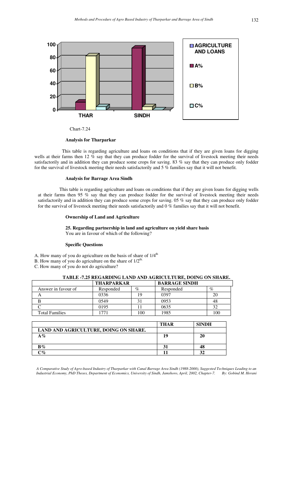

Chart-7.24

This table is regarding agriculture and loans on conditions that if they are given loans for digging wells at their farms then 12 % say that they can produce fodder for the survival of livestock meeting their needs satisfactorily and in addition they can produce some crops for saving. 83 % say that they can produce only fodder for the survival of livestock meeting their needs satisfactorily and 5 % families say that it will not benefit.

### **Analysis for Barrage Area Sindh**

 This table is regarding agriculture and loans on conditions that if they are given loans for digging wells at their farms then 95 % say that they can produce fodder for the survival of livestock meeting their needs satisfactorily and in addition they can produce some crops for saving. 05 % say that they can produce only fodder for the survival of livestock meeting their needs satisfactorily and 0 % families say that it will not benefit.

### **Ownership of Land and Agriculture**

### **25. Regarding partnership in land and agriculture on yield share basis**

You are in favour of which of the following?

### **Specific Questions**

- A. How many of you do agriculture on the basis of share of  $1/4<sup>th</sup>$
- B. How many of you do agriculture on the share of  $1/2^{th}$ .
- C. How many of you do not do agriculture?

### **TABLE -7.25 REGARDING LAND AND AGRICULTURE, DOING ON SHARE.**

|                       | <b>THARPARKAR</b> |      | <b>BARRAGE SINDH</b> |      |
|-----------------------|-------------------|------|----------------------|------|
| Answer in favour of   | Responded         | $\%$ | Responded            | $\%$ |
|                       | 0336              | 19   | 0397                 | 20   |
|                       | 0549              |      | 0953                 | 48   |
|                       | 0195              |      | 0635                 |      |
| <b>Total Families</b> |                   | 100  | 1985                 | 100  |

|                                       | THAR | <b>SINDH</b> |
|---------------------------------------|------|--------------|
| LAND AND AGRICULTURE, DOING ON SHARE. |      |              |
| $A\%$                                 | 19   | 20           |
|                                       |      |              |
| $B\%$                                 |      | 48           |
| $\gamma_{\mathcal{O}}$                |      | 32           |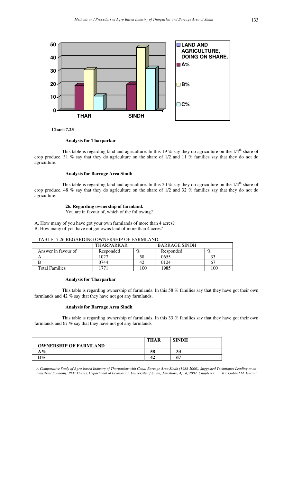

### **Analysis for Tharparkar**

This table is regarding land and agriculture. In this 19 % say they do agriculture on the  $1/4<sup>th</sup>$  share of crop produce. 31 % say that they do agriculture on the share of 1/2 and 11 % families say that they do not do agriculture.

### **Analysis for Barrage Area Sindh**

This table is regarding land and agriculture. In this 20 % say they do agriculture on the  $1/4<sup>th</sup>$  share of crop produce. 48 % say that they do agriculture on the share of 1/2 and 32 % families say that they do not do agriculture.

### **26. Regarding ownership of farmland.**

You are in favour of, which of the following?

A. How many of you have got your own farmlands of more than 4 acres? B. How many of you have not got owns land of more than 4 acres?

### TABLE -7.26 REGARDING OWNERSHIP OF FARMLAND.

|                       | <b>THARPARKAR</b> |      | <b>BARRAGE SINDH</b> |      |
|-----------------------|-------------------|------|----------------------|------|
| Answer in favour of   | Responded         | $\%$ | Responded            | $\%$ |
|                       | 1027              | 58   | 0655                 |      |
|                       | 0744              |      | 0124                 |      |
| <b>Total Families</b> | 77                | 100  | 1985                 | 100  |

### **Analysis for Tharparkar**

This table is regarding ownership of farmlands. In this 58 % families say that they have got their own farmlands and 42 % say that they have not got any farmlands.

### **Analysis for Barrage Area Sindh**

This table is regarding ownership of farmlands. In this 33 % families say that they have got their own farmlands and 67 % say that they have not got any farmlands

|                              | <b>THAR</b> | <b>SINDH</b> |
|------------------------------|-------------|--------------|
| <b>OWNERSHIP OF FARMLAND</b> |             |              |
| $\Delta\,\%$                 | 58          | IJ           |
| $B\%$                        |             |              |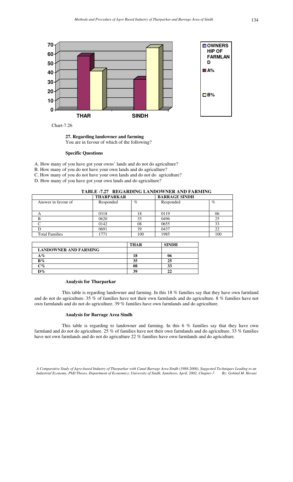

**27. Regarding landowner and farming**  You are in favour of which of the following?

### **Specific Questions**

- A. How many of you have got your owns' lands and do not do agriculture?
- B. How many of you do not have your own lands and do agriculture?
- C. How many of you do not have your own lands and do not do agriculture?
- D. How many of you have got your own lands and do agriculture?

### **TABLE -7.27 REGARDING LANDOWNER AND FARMING**

|                       | <b>THARPARKAR</b> |      | <b>BARRAGE SINDH</b> |      |
|-----------------------|-------------------|------|----------------------|------|
| Answer in favour of   | Responded         | $\%$ | Responded            | $\%$ |
|                       |                   |      |                      |      |
| $\bigwedge$           | 0318              | 18   | 0119                 | 06   |
|                       | 0620              | 35   | 0496                 |      |
|                       | 0142              | 08   | 0655                 | 33   |
|                       | 0691              | 39   | 0437                 |      |
| <b>Total Families</b> | 1771              | 100  | 1985                 | 100  |

|                              | <b>THAR</b> | <b>SINDH</b> |
|------------------------------|-------------|--------------|
| <b>LANDOWNER AND FARMING</b> |             |              |
| A%                           | 18          | U6           |
| $B\%$                        | 35          | 25           |
| $\circ$ %                    | 08          | 33           |
| $\mathbf{D}\%$               | 39          |              |

### **Analysis for Tharparkar**

This table is regarding landowner and farming. In this 18 % families say that they have own farmland and do not do agriculture. 35 % of families have not their own farmlands and do agriculture. 8 % families have not own farmlands and do not do agriculture. 39 % families have own farmlands and do agriculture.

### **Analysis for Barrage Area Sindh**

This table is regarding to landowner and farming. In this 6 % families say that they have own farmland and do not do agriculture. 25 % of families have not their own farmlands and do agriculture. 33 % families have not own farmlands and do not do agriculture 22 % families have own farmlands and do agriculture.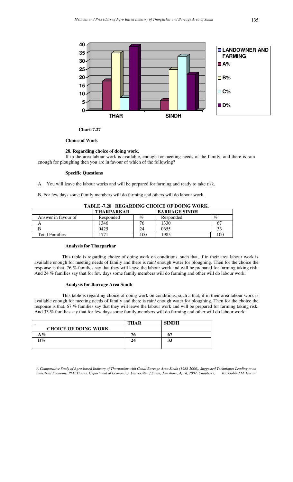

### **Choice of Work**

#### **28. Regarding choice of doing work.**

If in the area labour work is available, enough for meeting needs of the family, and there is rain enough for ploughing then you are in favour of which of the following?

#### **Specific Questions**

A. You will leave the labour works and will be prepared for farming and ready to take risk.

B. For few days some family members will do farming and others will do labour work.

|                       | <b>THARPARKAR</b> |      | <b>BARRAGE SINDH</b> |     |
|-----------------------|-------------------|------|----------------------|-----|
| Answer in favour of   | Responded         | $\%$ | Responded            | %   |
|                       | 1346              |      | 1330                 |     |
|                       | 0425              |      | 0655                 | 33  |
| <b>Total Families</b> | 77                | 00   | '985                 | 100 |

### **TABLE -7.28 REGARDING CHOICE OF DOING WORK.**

### **Analysis for Tharparkar**

This table is regarding choice of doing work on conditions, such that, if in their area labour work is available enough for meeting needs of family and there is rain/ enough water for ploughing. Then for the choice the response is that, 76 % families say that they will leave the labour work and will be prepared for farming taking risk. And 24 % families say that for few days some family members will do farming and other will do labour work.

### **Analysis for Barrage Area Sindh**

This table is regarding choice of doing work on conditions, such a that, if in their area labour work is available enough for meeting needs of family and there is rain/ enough water for ploughing. Then for the choice the response is that, 67 % families say that they will leave the labour work and will be prepared for farming taking risk. And 33 % families say that for few days some family members will do farming and other will do labour work.

|                              | <b>THAR</b> | <b>SINDH</b> |
|------------------------------|-------------|--------------|
| <b>CHOICE OF DOING WORK.</b> |             |              |
| $A\%$                        |             |              |
| $B\%$                        | 24          | IJ           |
|                              |             |              |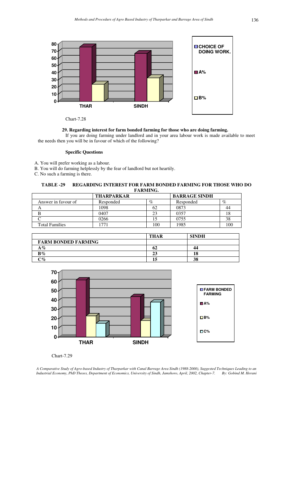

Chart-7.28

### **29. Regarding interest for farm bonded farming for those who are doing farming.**

If you are doing farming under landlord and in your area labour work is made available to meet the needs then you will be in favour of which of the following?

### **Specific Questions**

- A. You will prefer working as a labour.
- B. You will do farming helplessly by the fear of landlord but not heartily.

C. No such a farming is there.

**TABLE -29 REGARDING INTEREST FOR FARM BONDED FARMING FOR THOSE WHO DO FARMING.** 

|                       | <b>THARPARKAR</b> |      | <b>BARRAGE SINDH</b> |      |
|-----------------------|-------------------|------|----------------------|------|
| Answer in favour of   | Responded         | $\%$ | Responded            | $\%$ |
|                       | 1098              | 62   | 0873                 | 44   |
|                       | 0407              | 23   | 0357                 |      |
|                       | 0266              |      | 0755                 | 38   |
| <b>Total Families</b> |                   | 100  | 1985                 |      |

|                            | <b>THAR</b> | <b>SINDH</b> |
|----------------------------|-------------|--------------|
| <b>FARM BONDED FARMING</b> |             |              |
| $A\%$                      | 02          | 44           |
| $B\%$                      | 23          |              |
| $\circ \%$                 | 12          | 38           |



Chart-7.29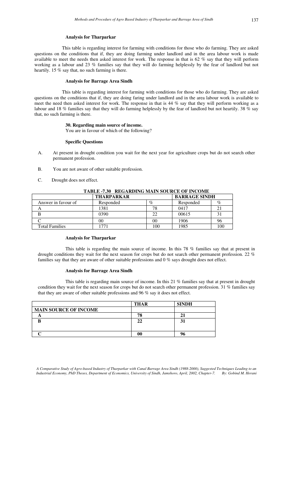This table is regarding interest for farming with conditions for those who do farming. They are asked questions on the conditions that if, they are doing farming under landlord and in the area labour work is made available to meet the needs then asked interest for work. The response in that is 62 % say that they will perform working as a labour and 23 % families say that they will do farming helplessly by the fear of landlord but not heartily. 15 % say that, no such farming is there.

### **Analysis for Barrage Area Sindh**

This table is regarding interest for farming with conditions for those who do farming. They are asked questions on the conditions that if, they are doing faring under landlord and in the area labour work is available to meet the need then asked interest for work. The response in that is 44 % say that they will perform working as a labour and 18 % families say that they will do farming helplessly by the fear of landlord but not heartily. 38 % say that, no such farming is there.

### **30. Regarding main source of income.**

You are in favour of which of the following?

#### **Specific Questions**

- A. At present in drought condition you wait for the next year for agriculture crops but do not search other permanent profession.
- B. You are not aware of other suitable profession.
- C. Drought does not effect.

| $\cdots$              |                          |      |                      |     |
|-----------------------|--------------------------|------|----------------------|-----|
|                       | <b>THARPARKAR</b>        |      | <b>BARRAGE SINDH</b> |     |
| Answer in favour of   | Responded                | $\%$ | Responded            | %   |
|                       | 1381                     | 78   | 0417                 | 21  |
|                       | 0390                     | 22   | 00615                | 31  |
|                       | 00                       | 00   | 1906                 | 96  |
| <b>Total Families</b> | $\overline{\phantom{a}}$ | 100  | 1985                 | 100 |

### **TABLE -7.30 REGARDING MAIN SOURCE OF INCOME**

### **Analysis for Tharparkar**

This table is regarding the main source of income. In this 78 % families say that at present in drought conditions they wait for the next season for crops but do not search other permanent profession. 22 % families say that they are aware of other suitable professions and 0 % says drought does not effect.

#### **Analysis for Barrage Area Sindh**

This table is regarding main source of income. In this 21 % families say that at present in drought condition they wait for the next season for crops but do not search other permanent profession. 31 % families say that they are aware of other suitable professions and 96 % say it does not effect.

|                              | <b>THAR</b> | <b>SINDH</b> |
|------------------------------|-------------|--------------|
| <b>MAIN SOURCE OF INCOME</b> |             |              |
|                              | 78          |              |
|                              | 22          |              |
|                              |             |              |
|                              |             |              |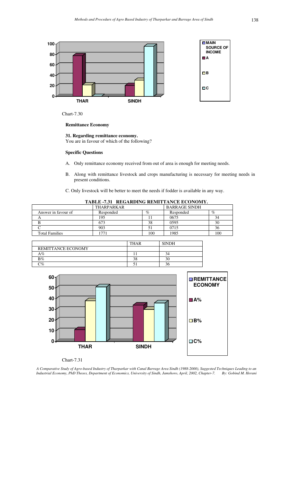

Chart-7.30

### **Remittance Economy**

**31. Regarding remittance economy.**  You are in favour of which of the following?

### **Specific Questions**

- A. Only remittance economy received from out of area is enough for meeting needs.
- B. Along with remittance livestock and crops manufacturing is necessary for meeting needs in present conditions.
- C. Only livestock will be better to meet the needs if fodder is available in any way.

| 1. IDD 701 ROUMDING ROULD HUNGHEOUTGILE |                   |      |                      |      |
|-----------------------------------------|-------------------|------|----------------------|------|
|                                         | <b>THARPARKAR</b> |      | <b>BARRAGE SINDH</b> |      |
| Answer in favour of                     | Responded         | $\%$ | Responded            | $\%$ |
|                                         | 195               |      | 0675                 |      |
|                                         | 673               | 38   | 0595                 | 30   |
|                                         | 903               |      | 0715                 | 50   |
| <b>Total Families</b>                   |                   | 100  | 1985                 | 100  |

**TABLE -7.31 REGARDING REMITTANCE ECONOMY.** 

|                    | <b>THAR</b> | <b>SINDH</b> |  |
|--------------------|-------------|--------------|--|
| REMITTANCE ECONOMY |             |              |  |
| ላ%                 |             |              |  |
| $B\%$              | 38          | $\sim$       |  |
| $\gamma_{\sigma}$  |             |              |  |



Chart-7.31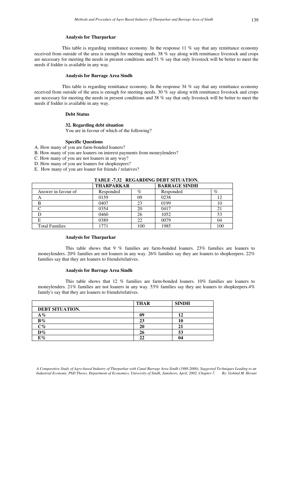This table is regarding remittance economy. In the response  $11\%$  say that any remittance economy received from outside of the area is enough for meeting needs. 38 % say along with remittance livestock and crops are necessary for meeting the needs in present conditions and 51 % say that only livestock will be better to meet the needs if fodder is available in any way.

### **Analysis for Barrage Area Sindh**

This table is regarding remittance economy. In the response  $34\%$  say that any remittance economy received from outside of the area is enough for meeting needs. 30 % say along with remittance livestock and crops are necessary for meeting the needs in present conditions and 38 % say that only livestock will be better to meet the needs if fodder is available in any way.

### **Debt Status**

### **32. Regarding debt situation**

You are in favour of which of the following?

#### **Specific Questions**

- A. How many of you are farm-bonded loaners?
- B. How many of you are loaners on interest payments from moneylenders?
- C. How many of you are not loaners in any way?
- D. How many of you are loaners for shopkeepers?
- E. How many of you are loaner for friends / relatives?

### **TABLE -7.32 REGARDING DEBT SITUATION.**

|                       | <b>THARPARKAR</b> |      | <b>BARRAGE SINDH</b> |      |
|-----------------------|-------------------|------|----------------------|------|
| Answer in favour of   | Responded         | $\%$ | Responded            | $\%$ |
|                       | 0159              | 09   | 0238                 | 12   |
|                       | 0407              | 23   | 0199                 | 10   |
|                       | 0354              | 20   | 0417                 |      |
|                       | 0460              | 26   | 1052                 | 53   |
|                       | 0389              | 22   | 0079                 | 04   |
| <b>Total Families</b> |                   | 100  | 1985                 | 100  |

#### **Analysis for Tharparkar**

This table shows that 9 % families are farm-bonded loaners. 23% families are loaners to moneylenders. 20% families are not loaners in any way. 26% families say they are loaners to shopkeepers. 22% families say that they are loaners to friends/relatives.

#### **Analysis for Barrage Area Sindh**

This table shows that 12 % families are farm-bonded loaners. 10% families are loaners to moneylenders. 21% families are not loaners in any way. 53% families say they are loaners to shopkeepers.4% family's say that they are loaners to friends/relatives.

|                 | <b>THAR</b> | <b>SINDH</b> |
|-----------------|-------------|--------------|
| DEBT SITUATION. |             |              |
| $A\%$           | 09          | 12           |
| $B\%$           | 23          | 10           |
| $C\%$           | 20          | 21           |
| $D\%$           | 26          | 53           |
| $E\%$           | 22          | 04           |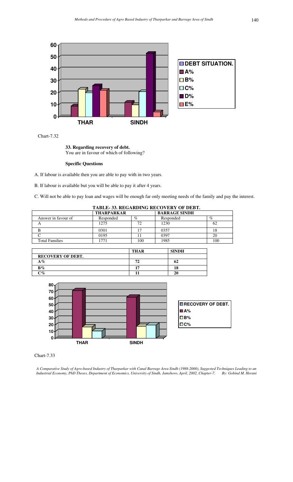

**33. Regarding recovery of debt.** You are in favour of which of following?

### **Specific Questions**

A. If labour is available then you are able to pay with in two years.

B. If labour is available but you will be able to pay it after 4 years.

C. Will not be able to pay loan and wages will be enough far only meeting needs of the family and pay the interest.

| TABLE-33. REGARDING RECOVERY OF DEBT. |                   |      |                      |      |  |
|---------------------------------------|-------------------|------|----------------------|------|--|
|                                       | <b>THARPARKAR</b> |      | <b>BARRAGE SINDH</b> |      |  |
| Answer in favour of                   | Responded         | $\%$ | Responded            | $\%$ |  |
|                                       | 1275              | 72   | 1230                 | 62   |  |
|                                       | 0301              |      | 0357                 | 18   |  |
|                                       | 0195              |      | 0397                 | 20   |  |
| <b>Total Families</b>                 |                   | 100  | 1985                 | 100  |  |

|                                      | THAR | <b>SINDH</b> |
|--------------------------------------|------|--------------|
| <b>RECOVERY OF DEBT.</b>             |      |              |
| A %                                  | 72   | 62           |
| $B\%$                                | 17   |              |
| $\gamma_{\mathcal{O}_{\mathcal{O}}}$ |      | 20           |



Chart-7.33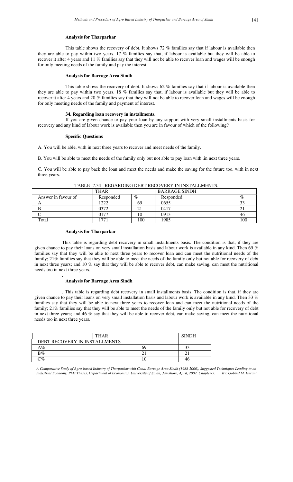This table shows the recovery of debt. It shows 72 % families say that if labour is available then they are able to pay within two years. 17 % families say that, if labour is available but they will be able to recover it after 4 years and 11 % families say that they will not be able to recover loan and wages will be enough for only meeting needs of the family and pay the interest.

#### **Analysis for Barrage Area Sindh**

This table shows the recovery of debt. It shows 62 % families say that if labour is available then they are able to pay within two years. 18 % families say that, if labour is available but they will be able to recover it after 4 years and 20 % families say that they will not be able to recover loan and wages will be enough for only meeting needs of the family and payment of interest.

### **34. Regarding loan recovery in installments.**

If you are given chance to pay your loan by any support with very small installments basis for recovery and any kind of labour work is available then you are in favour of which of the following?

#### **Specific Questions**

A. You will be able, with in next three years to recover and meet needs of the family.

B. You will be able to meet the needs of the family only but not able to pay loan with .in next three years.

C. You will be able to pay back the loan and meet the needs and make the saving for the future too, with in next three years.

|                     | <b>THAR</b>     |      | <b>BARRAGE SINDH</b> |      |
|---------------------|-----------------|------|----------------------|------|
| Answer in favour of | Responded       | $\%$ | Responded            | $\%$ |
|                     | 1222            | 69   | 0655                 | 33   |
|                     | 0372            |      | 0417                 | ∠⊥   |
|                     | 0177            | 10   | 0913                 | 46   |
| Total               | 77 <sup>1</sup> | 100  | 1985                 | 100  |

TABLE -7.34 REGARDING DEBT RECOVERY IN INSTALLMENTS.

### **Analysis for Tharparkar**

This table is regarding debt recovery in small installments basis. The condition is that, if they are given chance to pay their loans on very small installation basis and labour work is available in any kind. Then 69 % families say that they will be able to next three years to recover loan and can meet the nutritional needs of the family; 21% families say that they will be able to meet the needs of the family only but not able for recovery of debt in next three years; and 10 % say that they will be able to recover debt, can make saving, can meet the nutritional needs too in next three years.

### **Analysis for Barrage Area Sindh**

.

. This table is regarding debt recovery in small installments basis. The condition is that, if they are given chance to pay their loans on very small installation basis and labour work is available in any kind. Then 33 % families say that they will be able to next three years to recover loan and can meet the nutritional needs of the family; 21% families say that they will be able to meet the needs of the family only but not able for recovery of debt in next three years; and 46 % say that they will be able to recover debt, can make saving, can meet the nutritional needs too in next three years.

| <b>THAR</b>                   | <b>SINDH</b> |    |
|-------------------------------|--------------|----|
| DEBT RECOVERY IN INSTALLMENTS |              |    |
| A %                           | 69           |    |
| $B\%$                         |              |    |
| $\gamma_{0}$                  |              | 40 |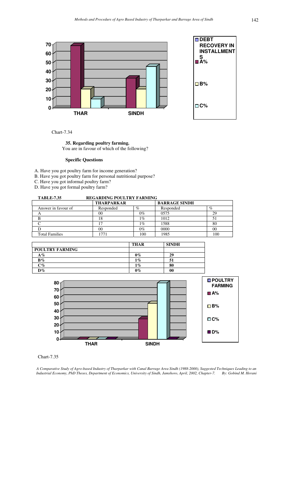

**DEBT RECOVERY IN INSTALLMENT S A% B% C%**

Chart-7.34

### **35. Regarding poultry farming.** You are in favour of which of the following?

### **Specific Questions**

- A. Have you got poultry farm for income generation?
- B. Have you got poultry farm for personal nutritional purpose?

C. Have you got informal poultry farm?

D. Have you got formal poultry farm?

| <b>REGARDING POULTRY FARMING</b><br><b>TABLE-7.35</b> |                   |       |                      |      |
|-------------------------------------------------------|-------------------|-------|----------------------|------|
|                                                       | <b>THARPARKAR</b> |       | <b>BARRAGE SINDH</b> |      |
| Answer in favour of                                   | Responded         | $\%$  | Responded            | $\%$ |
| А                                                     | 00                | $0\%$ | 0575                 | 29   |
| В                                                     | 18                | 1%    | 1012                 | 51   |
|                                                       |                   | 1%    | 1588                 | 80   |
|                                                       | 00                | $0\%$ | 0000                 | 00   |
| <b>Total Families</b>                                 | 771،              | 100   | 1985                 | 100  |
|                                                       |                   |       |                      |      |

|                        | <b>THAR</b> | <b>SINDH</b> |
|------------------------|-------------|--------------|
| <b>POULTRY FARMING</b> |             |              |
| $A\%$                  | $0\%$       | 29           |
| $B\%$                  | $1\%$       | 51           |
| $C\%$                  | $1\%$       | 80           |
| $D\%$                  | $0\%$       | 00           |



### Chart-7.35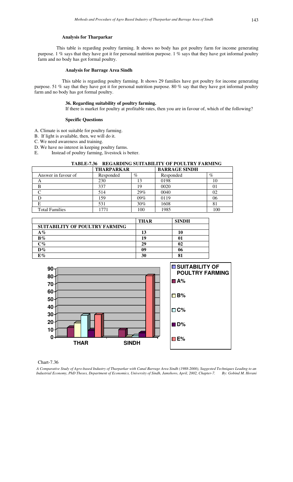This table is regarding poultry farming. It shows no body has got poultry farm for income generating purpose. 1 % says that they have got it for personal nutrition purpose. 1 % says that they have got informal poultry farm and no body has got formal poultry.

#### **Analysis for Barrage Area Sindh**

This table is regarding poultry farming. It shows 29 families have got poultry for income generating purpose. 51 % say that they have got it for personal nutrition purpose. 80 % say that they have got informal poultry farm and no body has got formal poultry.

### **36. Regarding suitability of poultry farming.**

If there is market for poultry at profitable rates, then you are in favour of, which of the following?

### **Specific Questions**

- A. Climate is not suitable for poultry farming.
- B. If light is available, then, we will do it.
- C. We need awareness and training.

D. We have no interest in keeping poultry farms.

E. Instead of poultry farming, livestock is better.

| TABLE-7.36 REGARDING SUITABILITY OF POULTRY FARMING |                   |      |                      |          |
|-----------------------------------------------------|-------------------|------|----------------------|----------|
|                                                     | <b>THARPARKAR</b> |      | <b>BARRAGE SINDH</b> |          |
| Answer in favour of                                 | Responded         | $\%$ | Responded            | $\%$     |
| A                                                   | 230               |      | 0198                 |          |
|                                                     | 337               | 19   | 0020                 | $\Omega$ |
|                                                     | 514               | 29%  | 0040                 | 02       |
|                                                     | 159               | 09%  | 0119                 | 06       |
|                                                     | 531               | 30%  | 1608                 | 81       |
| <b>Total Families</b>                               |                   | 100  | 1985                 |          |

|                                | <b>THAR</b> | <b>SINDH</b> |
|--------------------------------|-------------|--------------|
| SUITABILITY OF POULTRY FARMING |             |              |
| $A\%$                          | 13          | 10           |
| $B\%$                          | 19          | 01           |
| $C\%$                          | 29          | 02           |
| $\mathbf{D}\%$                 | 09          | 06           |
| E%                             | 30          | о1           |



Chart-7.36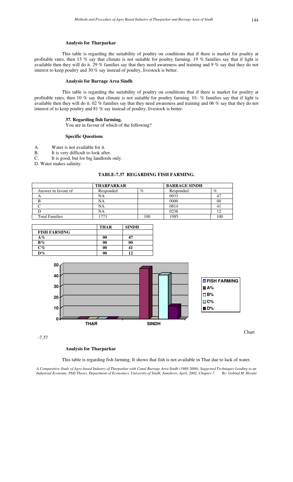This table is regarding the suitability of poultry on conditions that if there is market for poultry at profitable rates, then 13 % say that climate is not suitable for poultry farming. 19 % families say that if light is available then they will do it. 29 % families say that they need awareness and training and 9 % say that they do not interest to keep poultry and 30 % say instead of poultry, livestock is better.

### **Analysis for Barrage Area Sindh**

This table is regarding the suitability of poultry on conditions that if there is market for poultry at profitable rates, then 10 % say that climate is not suitable for poultry farming. 01- % families say that if light is available then they will do it. 02 % families say that they need awareness and training and 06 % say that they do not interest of to keep poultry and 81 % say instead of poultry, livestock is better.

#### **37. Regarding fish farming.**

You are in favour of which of the following?

#### **Specific Questions**

- A. Water is not available for it.<br>B. It is very difficult to look after
- It is very difficult to look after.
- C. It is good, but for big landlords only.
- D. Water makes salinity.

### **TABLE-7.37 REGARDING FISH FARMING.**

|                       | <b>THARPARKAR</b> |      | <b>BARRAGE SINDH</b> |      |
|-----------------------|-------------------|------|----------------------|------|
| Answer in favour of   | Responded         | $\%$ | Responded            | $\%$ |
|                       | NA                |      | 0933                 | 47   |
|                       | NA                |      | 0000                 | 00   |
|                       | NA                |      | 0814                 |      |
|                       | NA                |      | 0238                 |      |
| <b>Total Families</b> | 77                | 100  | 1985                 | 100  |

|                     | <b>THAR</b> | <b>SINDH</b> |
|---------------------|-------------|--------------|
| <b>FISH FARMING</b> |             |              |
| $A\%$               | 00          |              |
| $B\%$               | 00          | 00           |
| $C\%$               | 00          |              |
| $D\%$               | 00          | 12           |



-7.37

### **Analysis for Tharparkar**

This table is regarding fish farming. It shows that fish is not available in Thar due to lack of water.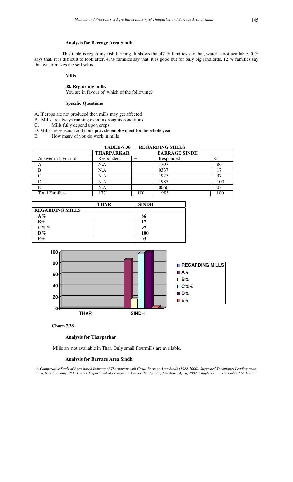### **Analysis for Barrage Area Sindh**

This table is regarding fish farming. It shows that 47 % families say that, water is not available. 0 % says that, it is difficult to look after. 41% families say that, it is good but for only big landlords. 12 % families say that water makes the soil saline.

### **Mills**

### **38. Regarding mills.**

You are in favour of, which of the following?

### **Specific Questions**

A. If crops are not produced then mills may get affected

- B. Mills are always running even in droughts conditions.
- C. Mills fully depend upon crops.
- D. Mills are seasonal and don't provide employment for the whole year
- E. How many of you do work in mills

|                       | <b>TABLE-7.38</b> |      | <b>REGARDING MILLS</b> |      |
|-----------------------|-------------------|------|------------------------|------|
|                       | <b>THARPARKAR</b> |      | <b>BARRAGE SINDH</b>   |      |
| Answer in favour of   | Responded         | $\%$ | Responded              | $\%$ |
| A                     | N.A               |      | 1707                   | 86   |
| в                     | N.A               |      | 0337                   | 17   |
|                       | N.A               |      | 1925                   | 97   |
|                       | N.A               |      | 1985                   | 100  |
| E                     | N.A               |      | 0060                   | 03   |
| <b>Total Families</b> | 1771              | 100  | 1985                   | 100  |

|                        | <b>THAR</b> | <b>SINDH</b> |  |
|------------------------|-------------|--------------|--|
| <b>REGARDING MILLS</b> |             |              |  |
| $A\%$                  |             | 86           |  |
| $B\%$                  |             | 17           |  |
| $C\%$ %                |             | 97           |  |
| $D\%$                  |             | <b>100</b>   |  |
| $E\%$                  |             | 03           |  |



### **Chart-7.38**

### **Analysis for Tharparkar**

Mills are not available in Thar. Only small flourmills are available.

### **Analysis for Barrage Area Sindh**